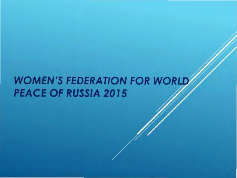# WOMEN'S FEDERATION FOR WORL PEACE OF RUSSIA 2015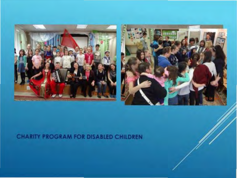



#### **CHARITY PROGRAM FOR DISABLED CHILDREN**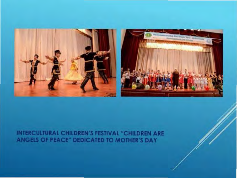

#### INTERCULTURAL CHILDREN'S FESTIVAL "CHILDREN ARE ANGELS OF PEACE" DEDICATED TO MOTHER'S DAY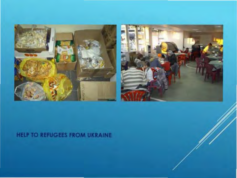

### **HELP TO REFUGEES FROM UKRAINE**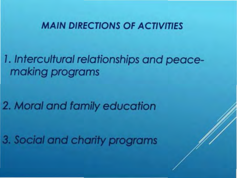## MAIN DIRECTIONS OF ACTIVITIES

1. lntercultural relationships and peacemaking programs

2. Moral and family education

3. Social and charity programs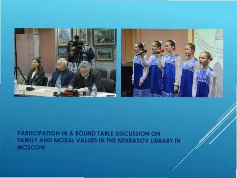

#### PARTICIPATION IN A ROUND TABLE DISCUSSION ON FAMILY AND MORAL VALUES IN THE NEKRASOV LIBRARY IN **MOSCOW**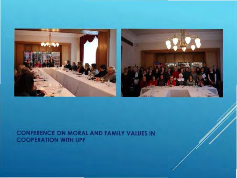



#### CONFERENCE ON MORAL AND FAMILY VALUES IN **COOPERATION WITH UPF**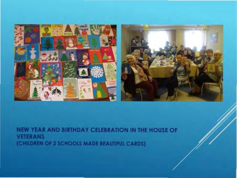

NEW YEAR AND BIRTHDAY CELEBRATION IN THE HOUSE OF **VETERANS** (CHILDREN OF 2 SCHOOLS MADE BEAUTIFUL CARDS)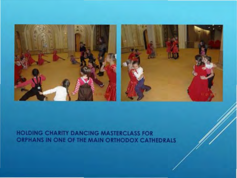

#### **HOLDING CHARITY DANCING MASTERCLASS FOR** ORPHANS IN ONE OF THE MAIN ORTHODOX CATHEDRALS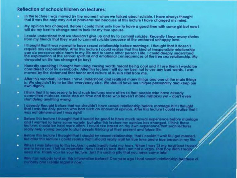#### Reflection of schoolchildren on lectures:

- In the lecture I was moved by the moment when we talked about suicide. I have always thought that it was the only way out of problems but because of this lecture I have changed my mind.
- My opinion has changed. Before I could think only how to have a good time with some girl but now I will do my best to change and to look for my true spouse.
- I could understand that we shouldn't give up and try to commit suicide. Recently I hear many stories ٠ from my friends that they want to commit suicide because of the unshared unhappy love.
- I thought that it was normal to have sexual relationship before maniage. I thought that it doesn't ٠ require any responsibility. After this lecture I could realize that this kind of irresponsible relationship can do unrecoverable harm to my life and to some other person's life. I could deeply understand the explanation of the serious spiritual and emotional consequences of the free sex relationship. My viewpoint on life has changed (a boy)
- Honestly speaking I thought that using cursing words meant being cool and if I use them I would be ٠ considered cool by everybody. After this lecture I will do my best not to use any bad words. I was moved by the statement that honor and culture of Russia start from me.
- After this wonderful lecture I have understood and realized many things and one of the main things ٠ is: We shouldn't try to be like everybody else. We should have our unique personality and keep our own dignity.
- I think that it is necessary to hold such lectures more often so that people who have already ٠ committed mistakes could stop on time and those who haven't made mistakes yet - don't even start doing anything wrong.
- I already thought before that we shouldn't have sexual relationship before marriage but I thought ٠ that I was the only person who had such an abnormal opinion. After this lecture I could realize that I Was not abnormal but I was right!
- Before this lecture I thought that it would be good to have much sexual experience before mantage ٠ and I wanted to have some variety but after this lecture my opinion has changed. I think these lectures should be held more often. I could see based on my own experience that such lectures really help young people to start deepty thinking of their present and future file.
- Selare this lecture I thought that i should try sexual relationship, that I couldn't wait III I get married. ٠ But after this lecture I could realize that I should really wait for true love and a true person in my lite.
- When I was listening to this lecture I could hardly hold my fears. When I was 13 my boytriend forced. ٠ me to have sex. I felt so miserable. Now I feel so bad, that I am not a virgin. That boy didn't really need me Thank you lot your lecture. Just it is such a pily that you have come late!
- Why has nobody fold us this information before? One year ago I had sexual relationship because of ٠ curiosity and Freally regrat it now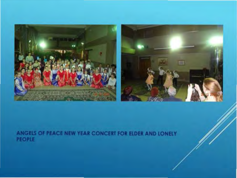

#### ANGELS OF PEACE NEW YEAR CONCERT FOR ELDER AND LONELY **PEOPLE**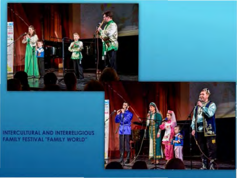

#### **INTERCULTURAL AND INTERRELIGIOUS** FAMILY FESTIVAL "FAMILY WORLD"

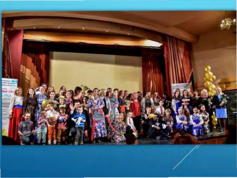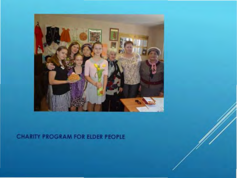

#### CHARITY PROGRAM FOR ELDER PEOPLE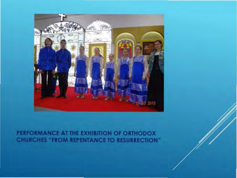

#### PERFORMANCE AT THE EXHIBITION OF ORTHODOX CHURCHES "FROM REPENTANCE TO RESURRECTION"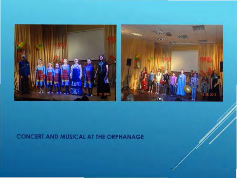

#### CONCERT AND MUSICAL AT THE ORPHANAGE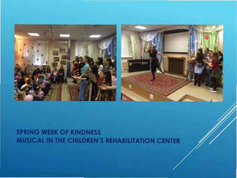



## SPRING WEEK OF KINDNESS MUSICAL IN THE CHILDREN'S REHABILITATION CENTER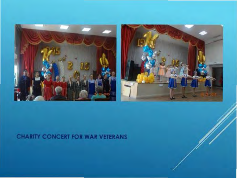



#### **CHARITY CONCERT FOR WAR VETERANS**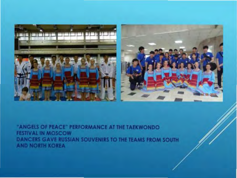

"ANGELS OF PEACE" PERFORMANCE AT THE TAEKWONDO **FESTIVAL IN MOSCOW** DANCERS GAVE RUSSIAN SOUVENIRS TO THE TEAMS FROM SOUTH. **AND NORTH KOREA**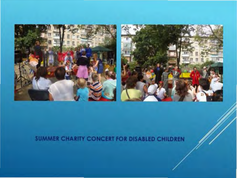

### **SUMMER CHARITY CONCERT FOR DISABLED CHILDREN**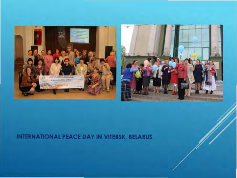



#### INTERNATIONAL PEACE DAY IN VITEBSK, BELARUS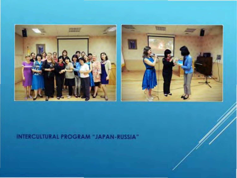



#### INTERCULTURAL PROGRAM "JAPAN-RUSSIA"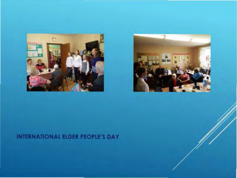



### **INTERNATIONAL ELDER PEOPLE'S DAY**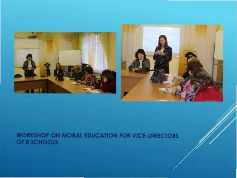



#### **WORKSHOP ON MORAL EDUCATION FOR VICE-DIRECTORS** OF 8 SCHOOLS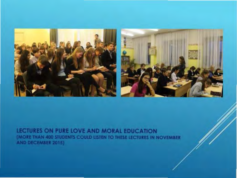



#### LECTURES ON PURE LOVE AND MORAL EDUCATION **[MORE THAN 400 STUDENTS COULD LISTEN TO THESE LECTURES IN NOVEMBER** AND DECEMBER 2015)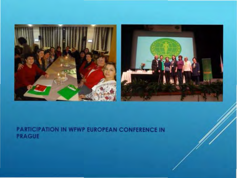

PARTICIPATION IN WFWP EUROPEAN CONFERENCE IN PRAGUE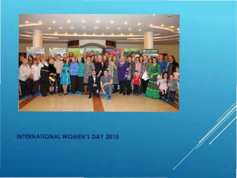

#### INTERNATIONAL WOMEN'S DAY 2015